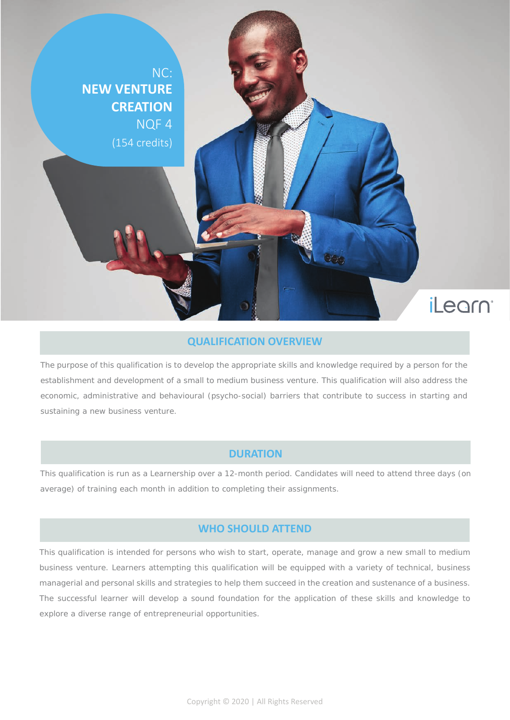NC: **NEW VENTURE CREATION** NQF 4 (154 credits)

*iLegrn* 

#### **QUALIFICATION OVERVIEW**

The purpose of this qualification is to develop the appropriate skills and knowledge required by a person for the establishment and development of a small to medium business venture. This qualification will also address the economic, administrative and behavioural (psycho-social) barriers that contribute to success in starting and sustaining a new business venture.

#### **DURATION**

This qualification is run as a Learnership over a 12-month period. Candidates will need to attend three days (on average) of training each month in addition to completing their assignments.

#### **WHO SHOULD ATTEND**

This qualification is intended for persons who wish to start, operate, manage and grow a new small to medium business venture. Learners attempting this qualification will be equipped with a variety of technical, business managerial and personal skills and strategies to help them succeed in the creation and sustenance of a business. The successful learner will develop a sound foundation for the application of these skills and knowledge to explore a diverse range of entrepreneurial opportunities.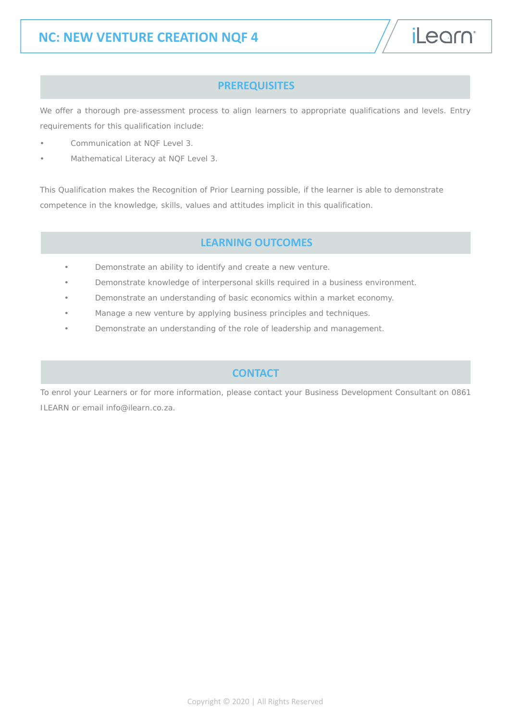#### **PREREQUISITES**

We offer a thorough pre-assessment process to align learners to appropriate qualifications and levels. Entry requirements for this qualification include:

- Communication at NQF Level 3.
- Mathematical Literacy at NQF Level 3.

This Qualification makes the Recognition of Prior Learning possible, if the learner is able to demonstrate competence in the knowledge, skills, values and attitudes implicit in this qualification.

#### **LEARNING OUTCOMES**

- Demonstrate an ability to identify and create a new venture.
- Demonstrate knowledge of interpersonal skills required in a business environment.
- Demonstrate an understanding of basic economics within a market economy.
- Manage a new venture by applying business principles and techniques.
- Demonstrate an understanding of the role of leadership and management.

#### **CONTACT**

To enrol your Learners or for more information, please contact your Business Development Consultant on 0861 ILEARN or email info@ilearn.co.za.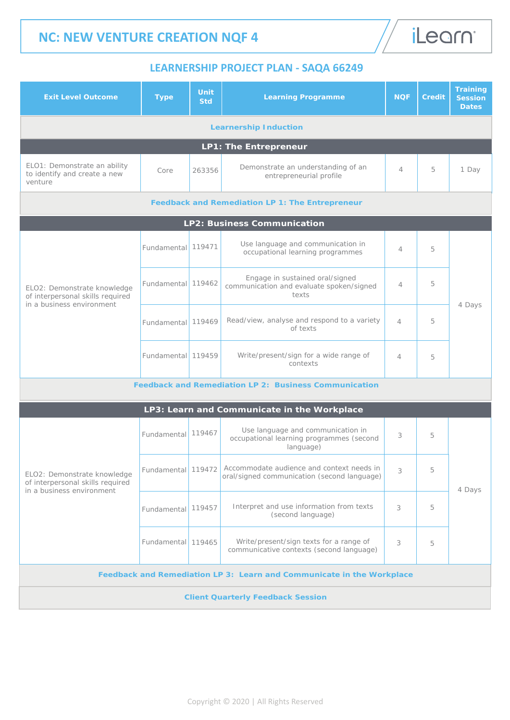

### **LEARNERSHIP PROJECT PLAN - SAQA 66249**

| <b>Exit Level Outcome</b>                                                                    | <b>Type</b>        | Unit<br><b>Std</b> | <b>Learning Programme</b>                                                                  | <b>NOF</b>     | <b>Credit</b> | <b>Training</b><br><b>Session</b><br><b>Dates</b> |  |  |  |
|----------------------------------------------------------------------------------------------|--------------------|--------------------|--------------------------------------------------------------------------------------------|----------------|---------------|---------------------------------------------------|--|--|--|
| <b>Learnership Induction</b>                                                                 |                    |                    |                                                                                            |                |               |                                                   |  |  |  |
|                                                                                              |                    |                    | <b>LP1: The Entrepreneur</b>                                                               |                |               |                                                   |  |  |  |
| ELO1: Demonstrate an ability<br>to identify and create a new<br>venture                      | Core               | 263356             | Demonstrate an understanding of an<br>entrepreneurial profile                              | $\overline{4}$ | 5             | 1 Day                                             |  |  |  |
| <b>Feedback and Remediation LP 1: The Entrepreneur</b>                                       |                    |                    |                                                                                            |                |               |                                                   |  |  |  |
|                                                                                              |                    |                    | LP2: Business Communication                                                                |                |               |                                                   |  |  |  |
| ELO2: Demonstrate knowledge<br>of interpersonal skills required<br>in a business environment | <b>Fundamental</b> | 119471             | Use language and communication in<br>occupational learning programmes                      | $\overline{4}$ | 5             | 4 Days                                            |  |  |  |
|                                                                                              | Fundamental 119462 |                    | Engage in sustained oral/signed<br>communication and evaluate spoken/signed<br>texts       | 4              | 5             |                                                   |  |  |  |
|                                                                                              | Fundamental        | 119469             | Read/view, analyse and respond to a variety<br>of texts                                    | $\overline{4}$ | 5             |                                                   |  |  |  |
|                                                                                              | Fundamental 119459 |                    | Write/present/sign for a wide range of<br>contexts                                         | $\overline{4}$ | 5             |                                                   |  |  |  |
| <b>Feedback and Remediation LP 2: Business Communication</b>                                 |                    |                    |                                                                                            |                |               |                                                   |  |  |  |
|                                                                                              |                    |                    | LP3: Learn and Communicate in the Workplace                                                |                |               |                                                   |  |  |  |
| ELO2: Demonstrate knowledge<br>of interpersonal skills required<br>in a business environment | Fundamental 119467 |                    | Use language and communication in<br>occupational learning programmes (second<br>language) | 3              | 5             | 4 Days                                            |  |  |  |
|                                                                                              | Fundamental        | 119472             | Accommodate audience and context needs in<br>oral/signed communication (second language)   | 3              | 5             |                                                   |  |  |  |
|                                                                                              | Fundamental        | 119457             | Interpret and use information from texts<br>(second language)                              | 3              | 5             |                                                   |  |  |  |
|                                                                                              | Fundamental 119465 |                    | Write/present/sign texts for a range of<br>communicative contexts (second language)        | 3              | 5             |                                                   |  |  |  |
| Feedback and Remediation LP 3: Learn and Communicate in the Workplace                        |                    |                    |                                                                                            |                |               |                                                   |  |  |  |
| <b>Client Quarterly Feedback Session</b>                                                     |                    |                    |                                                                                            |                |               |                                                   |  |  |  |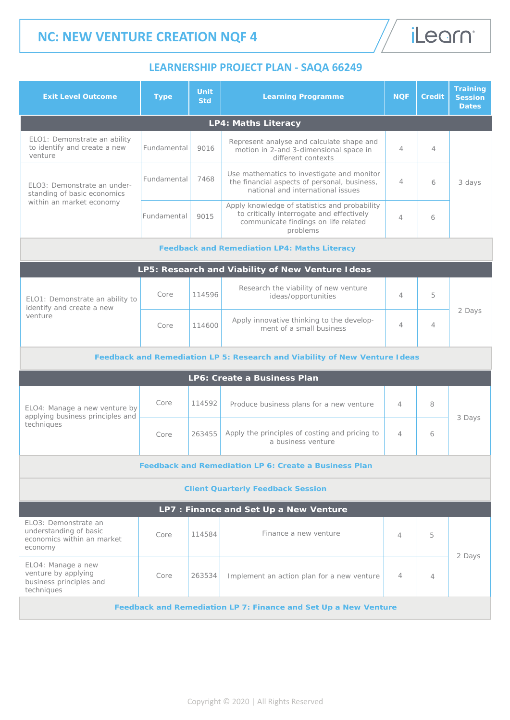# iLearn<sup>®</sup>

### **LEARNERSHIP PROJECT PLAN - SAQA 66249**

| <b>Exit Level Outcome</b>                                                               | <b>Type</b> | <b>Unit</b><br><b>Std</b> | <b>Learning Programme</b>                                                                                                                      | <b>NQF</b>     | <b>Credit</b>  | <b>Training</b><br><b>Session</b><br><b>Dates</b> |  |  |  |
|-----------------------------------------------------------------------------------------|-------------|---------------------------|------------------------------------------------------------------------------------------------------------------------------------------------|----------------|----------------|---------------------------------------------------|--|--|--|
|                                                                                         |             |                           | <b>LP4: Maths Literacy</b>                                                                                                                     |                |                |                                                   |  |  |  |
| ELO1: Demonstrate an ability<br>to identify and create a new<br>venture                 | Fundamental | 9016                      | Represent analyse and calculate shape and<br>motion in 2-and 3-dimensional space in<br>different contexts                                      | 4              | $\overline{4}$ |                                                   |  |  |  |
| ELO3: Demonstrate an under-<br>standing of basic economics<br>within an market economy  | Fundamental | 7468                      | Use mathematics to investigate and monitor<br>the financial aspects of personal, business,<br>national and international issues                | 4              | 6              | 3 days                                            |  |  |  |
|                                                                                         | Fundamental | 9015                      | Apply knowledge of statistics and probability<br>to critically interrogate and effectively<br>communicate findings on life related<br>problems | $\overline{4}$ | 6              |                                                   |  |  |  |
| <b>Feedback and Remediation LP4: Maths Literacy</b>                                     |             |                           |                                                                                                                                                |                |                |                                                   |  |  |  |
|                                                                                         |             |                           | LP5: Research and Viability of New Venture Ideas                                                                                               |                |                |                                                   |  |  |  |
| ELO1: Demonstrate an ability to<br>identify and create a new<br>venture                 | Core        | 114596                    | Research the viability of new venture<br>ideas/opportunities                                                                                   | 4              | 5              | 2 Days                                            |  |  |  |
|                                                                                         | Core        | 114600                    | Apply innovative thinking to the develop-<br>ment of a small business                                                                          | $\overline{4}$ | $\overline{4}$ |                                                   |  |  |  |
| Feedback and Remediation LP 5: Research and Viability of New Venture Ideas              |             |                           |                                                                                                                                                |                |                |                                                   |  |  |  |
| LP6: Create a Business Plan                                                             |             |                           |                                                                                                                                                |                |                |                                                   |  |  |  |
| ELO4: Manage a new venture by<br>applying business principles and<br>techniques         | Core        | 114592                    | Produce business plans for a new venture                                                                                                       | $\overline{4}$ | 8              | 3 Days                                            |  |  |  |
|                                                                                         | Core        | 263455                    | Apply the principles of costing and pricing to<br>a business venture                                                                           | 4              | 6              |                                                   |  |  |  |
| <b>Feedback and Remediation LP 6: Create a Business Plan</b>                            |             |                           |                                                                                                                                                |                |                |                                                   |  |  |  |
| <b>Client Quarterly Feedback Session</b>                                                |             |                           |                                                                                                                                                |                |                |                                                   |  |  |  |
| LP7 : Finance and Set Up a New Venture                                                  |             |                           |                                                                                                                                                |                |                |                                                   |  |  |  |
| ELO3: Demonstrate an<br>understanding of basic<br>economics within an market<br>economy | Core        | 114584                    | Finance a new venture                                                                                                                          | 4              | 5              | 2 Days                                            |  |  |  |
| ELO4: Manage a new<br>venture by applying<br>business principles and<br>techniques      | Core        | 263534                    | Implement an action plan for a new venture                                                                                                     | $\overline{4}$ | 4              |                                                   |  |  |  |
| Feedback and Remediation LP 7: Finance and Set Up a New Venture                         |             |                           |                                                                                                                                                |                |                |                                                   |  |  |  |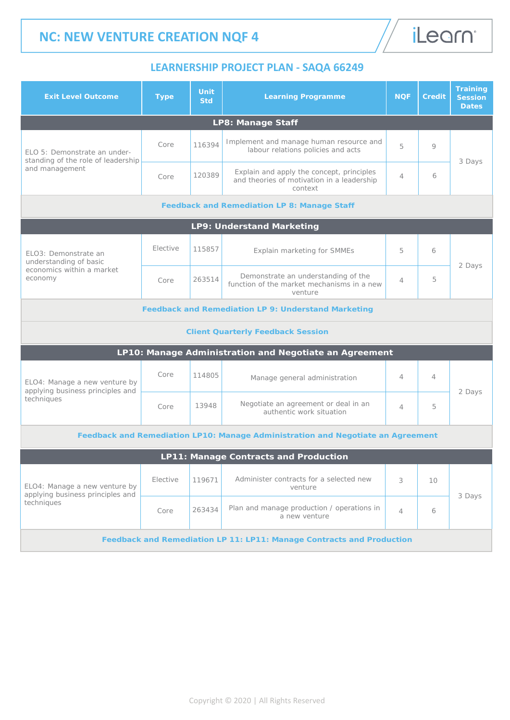

iLearn<sup>®</sup>

| <b>Exit Level Outcome</b>                                                              | <b>Type</b> | <b>Unit</b><br><b>Std</b> | <b>Learning Programme</b>                                                                          | <b>NOF</b>     | <b>Credit</b> | <b>Training</b><br><b>Session</b><br><b>Dates</b> |  |  |  |
|----------------------------------------------------------------------------------------|-------------|---------------------------|----------------------------------------------------------------------------------------------------|----------------|---------------|---------------------------------------------------|--|--|--|
| <b>LP8: Manage Staff</b>                                                               |             |                           |                                                                                                    |                |               |                                                   |  |  |  |
| ELO 5: Demonstrate an under-<br>standing of the role of leadership<br>and management   | Core        | 116394                    | Implement and manage human resource and<br>labour relations policies and acts                      | 5              | 9             |                                                   |  |  |  |
|                                                                                        | Core        | 120389                    | Explain and apply the concept, principles<br>and theories of motivation in a leadership<br>context | $\overline{4}$ | 6             | 3 Days                                            |  |  |  |
| <b>Feedback and Remediation LP 8: Manage Staff</b>                                     |             |                           |                                                                                                    |                |               |                                                   |  |  |  |
| <b>LP9: Understand Marketing</b>                                                       |             |                           |                                                                                                    |                |               |                                                   |  |  |  |
| ELO3: Demonstrate an<br>understanding of basic<br>economics within a market<br>economy | Elective    | 115857                    | Explain marketing for SMMEs                                                                        | 5              | 6             | 2 Days                                            |  |  |  |
|                                                                                        | Core        | 263514                    | Demonstrate an understanding of the<br>function of the market mechanisms in a new<br>venture       | 4              | 5             |                                                   |  |  |  |
| <b>Feedback and Remediation LP 9: Understand Marketing</b>                             |             |                           |                                                                                                    |                |               |                                                   |  |  |  |
| <b>Client Quarterly Feedback Session</b>                                               |             |                           |                                                                                                    |                |               |                                                   |  |  |  |
| LP10: Manage Administration and Negotiate an Agreement                                 |             |                           |                                                                                                    |                |               |                                                   |  |  |  |
| ELO4: Manage a new venture by<br>applying business principles and<br>techniques        | Core        | 114805                    | Manage general administration                                                                      | $\overline{4}$ | 4             |                                                   |  |  |  |
|                                                                                        | Core        | 13948                     | Negotiate an agreement or deal in an<br>authentic work situation                                   | $\overline{4}$ | 5             | 2 Days                                            |  |  |  |
| Feedback and Remediation LP10: Manage Administration and Negotiate an Agreement        |             |                           |                                                                                                    |                |               |                                                   |  |  |  |
| <b>LP11: Manage Contracts and Production</b>                                           |             |                           |                                                                                                    |                |               |                                                   |  |  |  |
| ELO4: Manage a new venture by<br>applying business principles and<br>techniques        | Elective    | 119671                    | Administer contracts for a selected new<br>venture                                                 | 3              | 10            | 3 Days                                            |  |  |  |
|                                                                                        | Core        | 263434                    | Plan and manage production / operations in<br>a new venture                                        | $\overline{4}$ | 6             |                                                   |  |  |  |
| Feedback and Remediation LP 11: LP11: Manage Contracts and Production                  |             |                           |                                                                                                    |                |               |                                                   |  |  |  |

Copyright © 2020 | All Rights Reserved